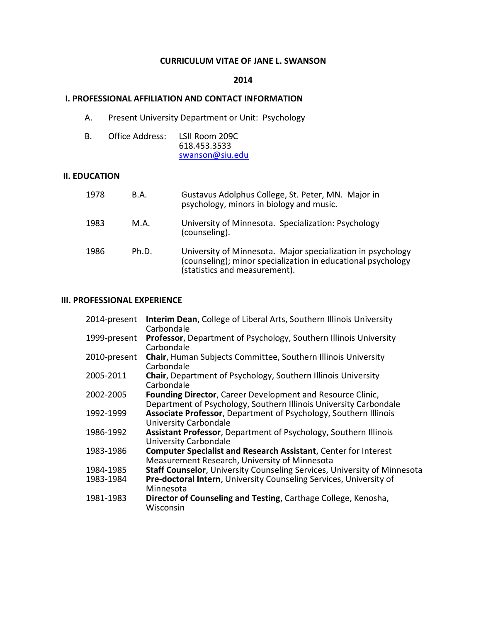## **CURRICULUM VITAE OF JANE L. SWANSON**

#### **2014**

### **I. PROFESSIONAL AFFILIATION AND CONTACT INFORMATION**

A. Present University Department or Unit: Psychology

| B. | Office Address: | LSII Room 209C  |  |
|----|-----------------|-----------------|--|
|    |                 | 618.453.3533    |  |
|    |                 | swanson@siu.edu |  |

#### **II. EDUCATION**

| 1978 | <b>B.A.</b> | Gustavus Adolphus College, St. Peter, MN. Major in<br>psychology, minors in biology and music.                                                               |
|------|-------------|--------------------------------------------------------------------------------------------------------------------------------------------------------------|
| 1983 | M.A.        | University of Minnesota. Specialization: Psychology<br>(counseling).                                                                                         |
| 1986 | Ph.D.       | University of Minnesota. Major specialization in psychology<br>(counseling); minor specialization in educational psychology<br>(statistics and measurement). |

## **III. PROFESSIONAL EXPERIENCE**

| 2014-present | <b>Interim Dean, College of Liberal Arts, Southern Illinois University</b>                                                      |
|--------------|---------------------------------------------------------------------------------------------------------------------------------|
|              | Carbondale                                                                                                                      |
| 1999-present | <b>Professor, Department of Psychology, Southern Illinois University</b><br>Carbondale                                          |
| 2010-present | <b>Chair, Human Subjects Committee, Southern Illinois University</b><br>Carbondale                                              |
| 2005-2011    | Chair, Department of Psychology, Southern Illinois University<br>Carbondale                                                     |
| 2002-2005    | Founding Director, Career Development and Resource Clinic,<br>Department of Psychology, Southern Illinois University Carbondale |
| 1992-1999    | Associate Professor, Department of Psychology, Southern Illinois<br>University Carbondale                                       |
| 1986-1992    | Assistant Professor, Department of Psychology, Southern Illinois<br>University Carbondale                                       |
| 1983-1986    | <b>Computer Specialist and Research Assistant, Center for Interest</b><br>Measurement Research, University of Minnesota         |
| 1984-1985    | Staff Counselor, University Counseling Services, University of Minnesota                                                        |
| 1983-1984    | Pre-doctoral Intern, University Counseling Services, University of<br>Minnesota                                                 |
| 1981-1983    | Director of Counseling and Testing, Carthage College, Kenosha,<br>Wisconsin                                                     |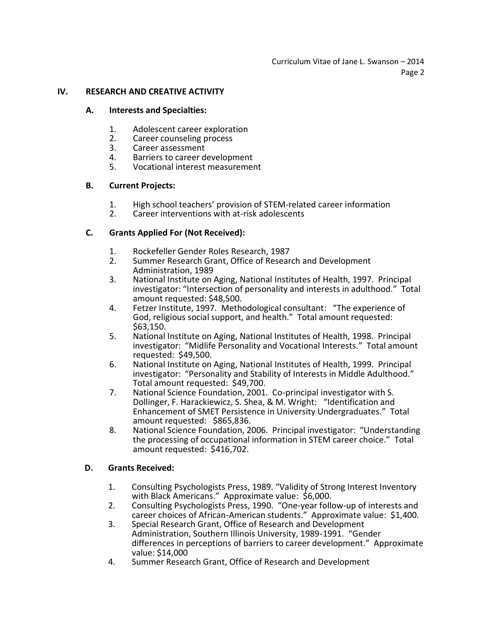## **IV. RESEARCH AND CREATIVE ACTIVITY**

## **A. Interests and Specialties:**

- 1. Adolescent career exploration
- 2. Career counseling process<br>3. Career assessment
- Career assessment
- 4. Barriers to career development
- 5. Vocational interest measurement

## **B. Current Projects:**

- 1. High school teachers' provision of STEM-related career information
- 2. Career interventions with at-risk adolescents

## **C. Grants Applied For (Not Received):**

- 1. Rockefeller Gender Roles Research, 1987
- 2. Summer Research Grant, Office of Research and Development Administration, 1989
- 3. National Institute on Aging, National Institutes of Health, 1997. Principal investigator: "Intersection of personality and interests in adulthood." Total amount requested: \$48,500.
- 4. Fetzer Institute, 1997. Methodological consultant: "The experience of God, religious social support, and health." Total amount requested: \$63,150.
- 5. National Institute on Aging, National Institutes of Health, 1998. Principal investigator: "Midlife Personality and Vocational Interests." Total amount requested: \$49,500.
- 6. National Institute on Aging, National Institutes of Health, 1999. Principal investigator: "Personality and Stability of Interests in Middle Adulthood." Total amount requested: \$49,700.
- 7. National Science Foundation, 2001. Co-principal investigator with S. Dollinger, F. Harackiewicz, S. Shea, & M. Wright: "Identification and Enhancement of SMET Persistence in University Undergraduates." Total amount requested: \$865,836.
- 8. National Science Foundation, 2006. Principal investigator: "Understanding the processing of occupational information in STEM career choice." Total amount requested: \$416,702.

## **D. Grants Received:**

- 1. Consulting Psychologists Press, 1989. "Validity of Strong Interest Inventory with Black Americans." Approximate value: \$6,000.
- 2. Consulting Psychologists Press, 1990. "One-year follow-up of interests and career choices of African-American students." Approximate value: \$1,400.
- 3. Special Research Grant, Office of Research and Development Administration, Southern Illinois University, 1989-1991. "Gender differences in perceptions of barriers to career development." Approximate value: \$14,000
- 4. Summer Research Grant, Office of Research and Development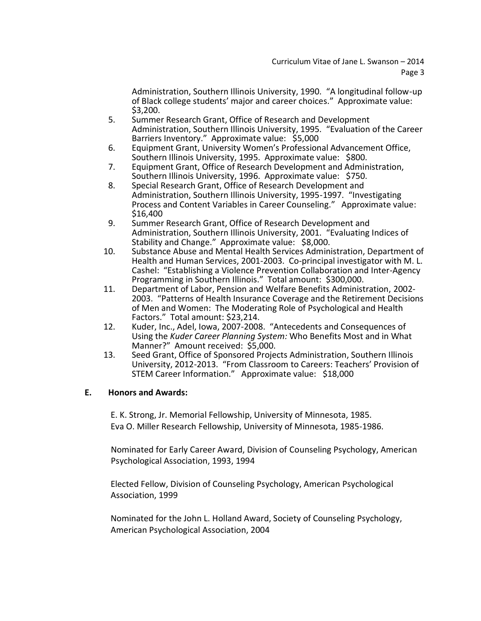Administration, Southern Illinois University, 1990. "A longitudinal follow-up of Black college students' major and career choices." Approximate value: \$3,200.

- 5. Summer Research Grant, Office of Research and Development Administration, Southern Illinois University, 1995. "Evaluation of the Career Barriers Inventory." Approximate value: \$5,000
- 6. Equipment Grant, University Women's Professional Advancement Office, Southern Illinois University, 1995. Approximate value: \$800.
- 7. Equipment Grant, Office of Research Development and Administration, Southern Illinois University, 1996. Approximate value: \$750.
- 8. Special Research Grant, Office of Research Development and Administration, Southern Illinois University, 1995-1997. "Investigating Process and Content Variables in Career Counseling." Approximate value: \$16,400
- 9. Summer Research Grant, Office of Research Development and Administration, Southern Illinois University, 2001. "Evaluating Indices of Stability and Change." Approximate value: \$8,000.
- 10. Substance Abuse and Mental Health Services Administration, Department of Health and Human Services, 2001-2003. Co-principal investigator with M. L. Cashel: "Establishing a Violence Prevention Collaboration and Inter-Agency Programming in Southern Illinois." Total amount: \$300,000.
- 11. Department of Labor, Pension and Welfare Benefits Administration, 2002- 2003. "Patterns of Health Insurance Coverage and the Retirement Decisions of Men and Women: The Moderating Role of Psychological and Health Factors." Total amount: \$23,214.
- 12. Kuder, Inc., Adel, Iowa, 2007-2008. "Antecedents and Consequences of Using the *Kuder Career Planning System:* Who Benefits Most and in What Manner?" Amount received: \$5,000.
- 13. Seed Grant, Office of Sponsored Projects Administration, Southern Illinois University, 2012-2013. "From Classroom to Careers: Teachers' Provision of STEM Career Information." Approximate value: \$18,000

# **E. Honors and Awards:**

E. K. Strong, Jr. Memorial Fellowship, University of Minnesota, 1985. Eva O. Miller Research Fellowship, University of Minnesota, 1985-1986.

Nominated for Early Career Award, Division of Counseling Psychology, American Psychological Association, 1993, 1994

Elected Fellow, Division of Counseling Psychology, American Psychological Association, 1999

Nominated for the John L. Holland Award, Society of Counseling Psychology, American Psychological Association, 2004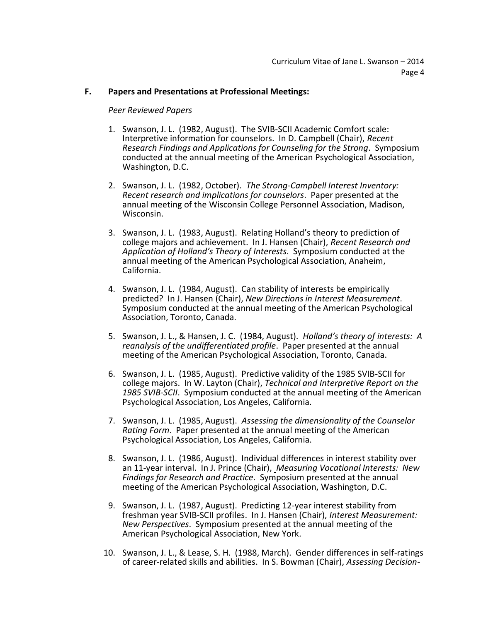## **F. Papers and Presentations at Professional Meetings:**

#### *Peer Reviewed Papers*

- 1. Swanson, J. L. (1982, August). The SVIB-SCII Academic Comfort scale: Interpretive information for counselors. In D. Campbell (Chair), *Recent Research Findings and Applications for Counseling for the Strong*. Symposium conducted at the annual meeting of the American Psychological Association, Washington, D.C.
- 2. Swanson, J. L. (1982, October). *The Strong-Campbell Interest Inventory: Recent research and implications for counselors*. Paper presented at the annual meeting of the Wisconsin College Personnel Association, Madison, Wisconsin.
- 3. Swanson, J. L. (1983, August). Relating Holland's theory to prediction of college majors and achievement. In J. Hansen (Chair), *Recent Research and Application of Holland's Theory of Interests*. Symposium conducted at the annual meeting of the American Psychological Association, Anaheim, California.
- 4. Swanson, J. L. (1984, August). Can stability of interests be empirically predicted? In J. Hansen (Chair), *New Directions in Interest Measurement*. Symposium conducted at the annual meeting of the American Psychological Association, Toronto, Canada.
- 5. Swanson, J. L., & Hansen, J. C. (1984, August). *Holland's theory of interests: A reanalysis of the undifferentiated profile*. Paper presented at the annual meeting of the American Psychological Association, Toronto, Canada.
- 6. Swanson, J. L. (1985, August). Predictive validity of the 1985 SVIB-SCII for college majors. In W. Layton (Chair), *Technical and Interpretive Report on the 1985 SVIB-SCII*. Symposium conducted at the annual meeting of the American Psychological Association, Los Angeles, California.
- 7. Swanson, J. L. (1985, August). *Assessing the dimensionality of the Counselor Rating Form*. Paper presented at the annual meeting of the American Psychological Association, Los Angeles, California.
- 8. Swanson, J. L. (1986, August). Individual differences in interest stability over an 11-year interval. In J. Prince (Chair), *Measuring Vocational Interests: New Findings for Research and Practice*. Symposium presented at the annual meeting of the American Psychological Association, Washington, D.C.
- 9. Swanson, J. L. (1987, August). Predicting 12-year interest stability from freshman year SVIB-SCII profiles. In J. Hansen (Chair), *Interest Measurement: New Perspectives*. Symposium presented at the annual meeting of the American Psychological Association, New York.
- 10. Swanson, J. L., & Lease, S. H. (1988, March). Gender differences in self-ratings of career-related skills and abilities. In S. Bowman (Chair), *Assessing Decision-*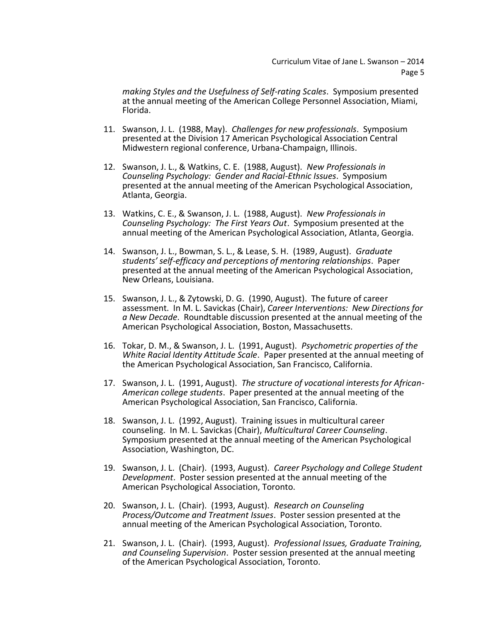*making Styles and the Usefulness of Self-rating Scales*. Symposium presented at the annual meeting of the American College Personnel Association, Miami, Florida.

- 11. Swanson, J. L. (1988, May). *Challenges for new professionals*. Symposium presented at the Division 17 American Psychological Association Central Midwestern regional conference, Urbana-Champaign, Illinois.
- 12. Swanson, J. L., & Watkins, C. E. (1988, August). *New Professionals in Counseling Psychology: Gender and Racial-Ethnic Issues*. Symposium presented at the annual meeting of the American Psychological Association, Atlanta, Georgia.
- 13. Watkins, C. E., & Swanson, J. L. (1988, August). *New Professionals in Counseling Psychology: The First Years Out*. Symposium presented at the annual meeting of the American Psychological Association, Atlanta, Georgia.
- 14. Swanson, J. L., Bowman, S. L., & Lease, S. H. (1989, August). *Graduate students' self-efficacy and perceptions of mentoring relationships*. Paper presented at the annual meeting of the American Psychological Association, New Orleans, Louisiana.
- 15. Swanson, J. L., & Zytowski, D. G. (1990, August). The future of career assessment. In M. L. Savickas (Chair), *Career Interventions: New Directions for a New Decade*. Roundtable discussion presented at the annual meeting of the American Psychological Association, Boston, Massachusetts.
- 16. Tokar, D. M., & Swanson, J. L. (1991, August). *Psychometric properties of the White Racial Identity Attitude Scale*. Paper presented at the annual meeting of the American Psychological Association, San Francisco, California.
- 17. Swanson, J. L. (1991, August). *The structure of vocational interests for African-American college students*. Paper presented at the annual meeting of the American Psychological Association, San Francisco, California.
- 18. Swanson, J. L. (1992, August). Training issues in multicultural career counseling. In M. L. Savickas (Chair), *Multicultural Career Counseling*. Symposium presented at the annual meeting of the American Psychological Association, Washington, DC.
- 19. Swanson, J. L. (Chair). (1993, August). *Career Psychology and College Student Development*. Poster session presented at the annual meeting of the American Psychological Association, Toronto.
- 20. Swanson, J. L. (Chair). (1993, August). *Research on Counseling Process/Outcome and Treatment Issues*. Poster session presented at the annual meeting of the American Psychological Association, Toronto.
- 21. Swanson, J. L. (Chair). (1993, August). *Professional Issues, Graduate Training, and Counseling Supervision*. Poster session presented at the annual meeting of the American Psychological Association, Toronto.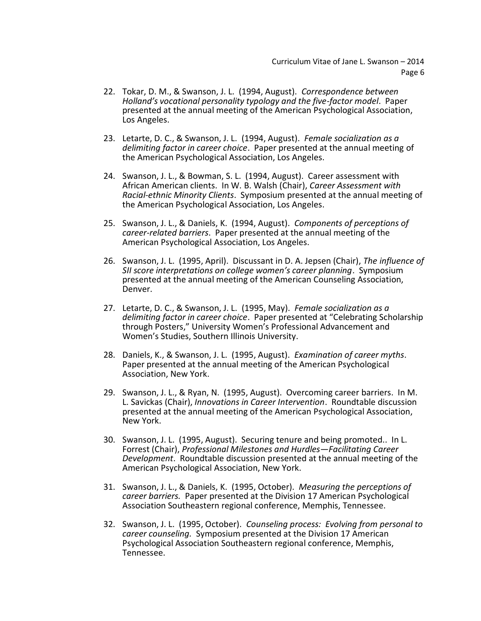- 22. Tokar, D. M., & Swanson, J. L. (1994, August). *Correspondence between Holland's vocational personality typology and the five-factor model*. Paper presented at the annual meeting of the American Psychological Association, Los Angeles.
- 23. Letarte, D. C., & Swanson, J. L. (1994, August). *Female socialization as a delimiting factor in career choice*. Paper presented at the annual meeting of the American Psychological Association, Los Angeles.
- 24. Swanson, J. L., & Bowman, S. L. (1994, August). Career assessment with African American clients. In W. B. Walsh (Chair), *Career Assessment with Racial-ethnic Minority Clients*. Symposium presented at the annual meeting of the American Psychological Association, Los Angeles.
- 25. Swanson, J. L., & Daniels, K. (1994, August). *Components of perceptions of career-related barriers*. Paper presented at the annual meeting of the American Psychological Association, Los Angeles.
- 26. Swanson, J. L. (1995, April). Discussant in D. A. Jepsen (Chair), *The influence of SII score interpretations on college women's career planning*. Symposium presented at the annual meeting of the American Counseling Association, Denver.
- 27. Letarte, D. C., & Swanson, J. L. (1995, May). *Female socialization as a delimiting factor in career choice*. Paper presented at "Celebrating Scholarship through Posters," University Women's Professional Advancement and Women's Studies, Southern Illinois University.
- 28. Daniels, K., & Swanson, J. L. (1995, August). *Examination of career myths*. Paper presented at the annual meeting of the American Psychological Association, New York.
- 29. Swanson, J. L., & Ryan, N. (1995, August). Overcoming career barriers. In M. L. Savickas (Chair), *Innovations in Career Intervention*. Roundtable discussion presented at the annual meeting of the American Psychological Association, New York.
- 30. Swanson, J. L. (1995, August). Securing tenure and being promoted.. In L. Forrest (Chair), *Professional Milestones and Hurdles—Facilitating Career Development*. Roundtable discussion presented at the annual meeting of the American Psychological Association, New York.
- 31. Swanson, J. L., & Daniels, K. (1995, October). *Measuring the perceptions of career barriers.* Paper presented at the Division 17 American Psychological Association Southeastern regional conference, Memphis, Tennessee.
- 32. Swanson, J. L. (1995, October). *Counseling process: Evolving from personal to career counseling.* Symposium presented at the Division 17 American Psychological Association Southeastern regional conference, Memphis, Tennessee.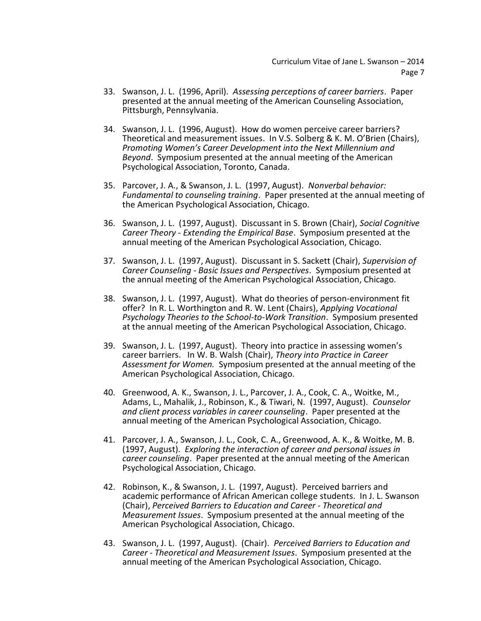- 33. Swanson, J. L. (1996, April). *Assessing perceptions of career barriers*. Paper presented at the annual meeting of the American Counseling Association, Pittsburgh, Pennsylvania.
- 34. Swanson, J. L. (1996, August). How do women perceive career barriers? Theoretical and measurement issues. In V.S. Solberg & K. M. O'Brien (Chairs), *Promoting Women's Career Development into the Next Millennium and Beyond*. Symposium presented at the annual meeting of the American Psychological Association, Toronto, Canada.
- 35. Parcover, J. A., & Swanson, J. L. (1997, August). *Nonverbal behavior: Fundamental to counseling training*. Paper presented at the annual meeting of the American Psychological Association, Chicago.
- 36. Swanson, J. L. (1997, August). Discussant in S. Brown (Chair), *Social Cognitive Career Theory - Extending the Empirical Base*. Symposium presented at the annual meeting of the American Psychological Association, Chicago.
- 37. Swanson, J. L. (1997, August). Discussant in S. Sackett (Chair), *Supervision of Career Counseling - Basic Issues and Perspectives*. Symposium presented at the annual meeting of the American Psychological Association, Chicago.
- 38. Swanson, J. L. (1997, August). What do theories of person-environment fit offer? In R. L. Worthington and R. W. Lent (Chairs), *Applying Vocational Psychology Theories to the School-to-Work Transition*. Symposium presented at the annual meeting of the American Psychological Association, Chicago.
- 39. Swanson, J. L. (1997, August). Theory into practice in assessing women's career barriers. In W. B. Walsh (Chair), *Theory into Practice in Career Assessment for Women.* Symposium presented at the annual meeting of the American Psychological Association, Chicago.
- 40. Greenwood, A. K., Swanson, J. L., Parcover, J. A., Cook, C. A., Woitke, M., Adams, L., Mahalik, J., Robinson, K., & Tiwari, N. (1997, August). *Counselor and client process variables in career counseling*. Paper presented at the annual meeting of the American Psychological Association, Chicago.
- 41. Parcover, J. A., Swanson, J. L., Cook, C. A., Greenwood, A. K., & Woitke, M. B. (1997, August). *Exploring the interaction of career and personal issues in career counseling*. Paper presented at the annual meeting of the American Psychological Association, Chicago.
- 42. Robinson, K., & Swanson, J. L. (1997, August). Perceived barriers and academic performance of African American college students. In J. L. Swanson (Chair), *Perceived Barriers to Education and Career - Theoretical and Measurement Issues*. Symposium presented at the annual meeting of the American Psychological Association, Chicago.
- 43. Swanson, J. L. (1997, August). (Chair). *Perceived Barriers to Education and Career - Theoretical and Measurement Issues*. Symposium presented at the annual meeting of the American Psychological Association, Chicago.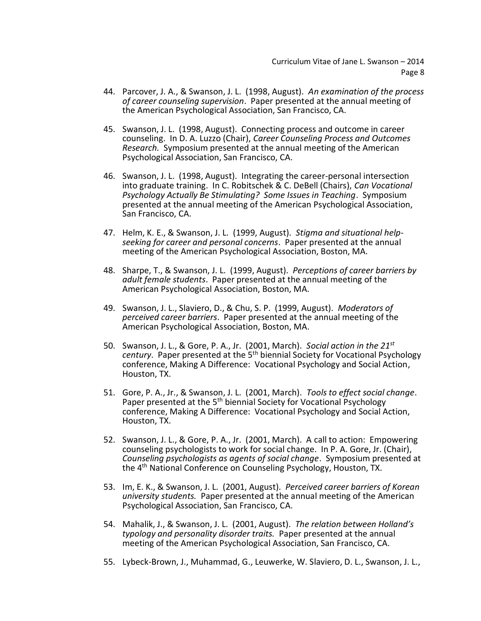- 44. Parcover, J. A., & Swanson, J. L. (1998, August). *An examination of the process of career counseling supervision*. Paper presented at the annual meeting of the American Psychological Association, San Francisco, CA.
- 45. Swanson, J. L. (1998, August). Connecting process and outcome in career counseling. In D. A. Luzzo (Chair), *Career Counseling Process and Outcomes Research.* Symposium presented at the annual meeting of the American Psychological Association, San Francisco, CA.
- 46. Swanson, J. L. (1998, August). Integrating the career-personal intersection into graduate training. In C. Robitschek & C. DeBell (Chairs), *Can Vocational Psychology Actually Be Stimulating? Some Issues in Teaching*. Symposium presented at the annual meeting of the American Psychological Association, San Francisco, CA.
- 47. Helm, K. E., & Swanson, J. L. (1999, August). *Stigma and situational helpseeking for career and personal concerns*. Paper presented at the annual meeting of the American Psychological Association, Boston, MA.
- 48. Sharpe, T., & Swanson, J. L. (1999, August). *Perceptions of career barriers by adult female students*. Paper presented at the annual meeting of the American Psychological Association, Boston, MA.
- 49. Swanson, J. L., Slaviero, D., & Chu, S. P. (1999, August). *Moderators of perceived career barriers*. Paper presented at the annual meeting of the American Psychological Association, Boston, MA.
- 50. Swanson, J. L., & Gore, P. A., Jr. (2001, March). *Social action in the 21st century*. Paper presented at the 5th biennial Society for Vocational Psychology conference, Making A Difference: Vocational Psychology and Social Action, Houston, TX.
- 51. Gore, P. A., Jr., & Swanson, J. L. (2001, March). *Tools to effect social change*. Paper presented at the 5<sup>th</sup> biennial Society for Vocational Psychology conference, Making A Difference: Vocational Psychology and Social Action, Houston, TX.
- 52. Swanson, J. L., & Gore, P. A., Jr. (2001, March). A call to action: Empowering counseling psychologists to work for social change. In P. A. Gore, Jr. (Chair), *Counseling psychologists as agents of social change*. Symposium presented at the 4th National Conference on Counseling Psychology, Houston, TX.
- 53. Im, E. K., & Swanson, J. L. (2001, August). *Perceived career barriers of Korean university students.* Paper presented at the annual meeting of the American Psychological Association, San Francisco, CA.
- 54. Mahalik, J., & Swanson, J. L. (2001, August). *The relation between Holland's typology and personality disorder traits.* Paper presented at the annual meeting of the American Psychological Association, San Francisco, CA.
- 55. Lybeck-Brown, J., Muhammad, G., Leuwerke, W. Slaviero, D. L., Swanson, J. L.,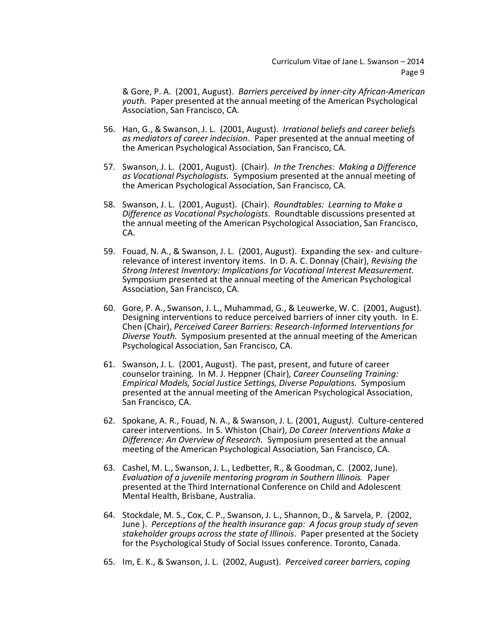& Gore, P. A. (2001, August). *Barriers perceived by inner-city African-American youth.* Paper presented at the annual meeting of the American Psychological Association, San Francisco, CA.

- 56. Han, G., & Swanson, J. L. (2001, August). *Irrational beliefs and career beliefs as mediators of career indecision*. Paper presented at the annual meeting of the American Psychological Association, San Francisco, CA.
- 57. Swanson, J. L. (2001, August). (Chair). *In the Trenches: Making a Difference as Vocational Psychologists.* Symposium presented at the annual meeting of the American Psychological Association, San Francisco, CA.
- 58. Swanson, J. L. (2001, August). (Chair). *Roundtables: Learning to Make a Difference as Vocational Psychologists*. Roundtable discussions presented at the annual meeting of the American Psychological Association, San Francisco, CA.
- 59. Fouad, N. A., & Swanson, J. L. (2001, August). Expanding the sex- and culturerelevance of interest inventory items.In D. A. C. Donnay (Chair), *Revising the Strong Interest Inventory: Implications for Vocational Interest Measurement.* Symposium presented at the annual meeting of the American Psychological Association, San Francisco, CA.
- 60. Gore, P. A., Swanson, J. L., Muhammad, G., & Leuwerke, W. C. (2001, August). Designing interventions to reduce perceived barriers of inner city youth. In E. Chen (Chair), *Perceived Career Barriers: Research-Informed Interventions for Diverse Youth.* Symposium presented at the annual meeting of the American Psychological Association, San Francisco, CA.
- 61. Swanson, J. L. (2001, August). The past, present, and future of career counselor training*.* In M. J. Heppner (Chair)*, Career Counseling Training: Empirical Models, Social Justice Settings, Diverse Populations.* Symposium presented at the annual meeting of the American Psychological Association, San Francisco, CA.
- 62. Spokane, A. R., Fouad, N. A., & Swanson, J. L. (2001, August*).* Culture-centered career interventions. In S. Whiston (Chair), *Do Career Interventions Make a Difference: An Overview of Research.* Symposium presented at the annual meeting of the American Psychological Association, San Francisco, CA.
- 63. Cashel, M. L., Swanson, J. L., Ledbetter, R., & Goodman, C. (2002, June). *Evaluation of a juvenile mentoring program in Southern Illinois.* Paper presented at the Third International Conference on Child and Adolescent Mental Health, Brisbane, Australia.
- 64. Stockdale, M. S., Cox, C. P., Swanson, J. L., Shannon, D., & Sarvela, P. (2002, June ). *Perceptions of the health insurance gap: A focus group study of seven stakeholder groups across the state of Illinois*. Paper presented at the Society for the Psychological Study of Social Issues conference. Toronto, Canada.
- 65. Im, E. K., & Swanson, J. L. (2002, August). *Perceived career barriers, coping*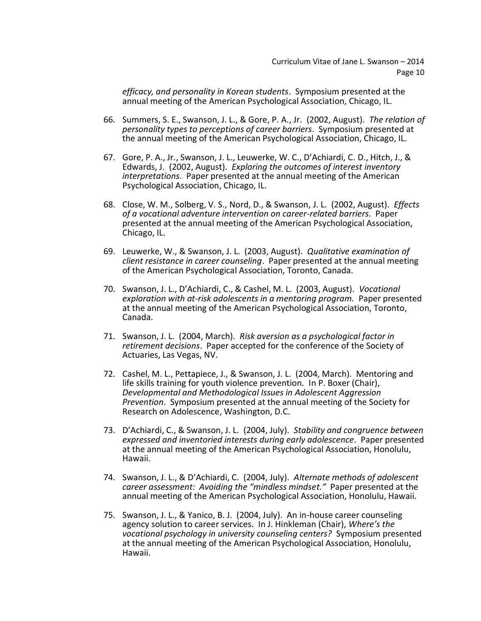*efficacy, and personality in Korean students*. Symposium presented at the annual meeting of the American Psychological Association, Chicago, IL.

- 66. Summers, S. E., Swanson, J. L., & Gore, P. A., Jr. (2002, August). *The relation of personality types to perceptions of career barriers*. Symposium presented at the annual meeting of the American Psychological Association, Chicago, IL.
- 67. Gore, P. A., Jr., Swanson, J. L., Leuwerke, W. C., D'Achiardi, C. D., Hitch, J., & Edwards, J. (2002, August). *Exploring the outcomes of interest inventory interpretations*. Paper presented at the annual meeting of the American Psychological Association, Chicago, IL.
- 68. Close, W. M., Solberg, V. S., Nord, D., & Swanson, J. L. (2002, August). *Effects of a vocational adventure intervention on career-related barriers*. Paper presented at the annual meeting of the American Psychological Association, Chicago, IL.
- 69. Leuwerke, W., & Swanson, J. L. (2003, August). *Qualitative examination of client resistance in career counseling*. Paper presented at the annual meeting of the American Psychological Association, Toronto, Canada.
- 70. Swanson, J. L., D'Achiardi, C., & Cashel, M. L. (2003, August). *Vocational exploration with at-risk adolescents in a mentoring program.* Paper presented at the annual meeting of the American Psychological Association, Toronto, Canada.
- 71. Swanson, J. L. (2004, March). *Risk aversion as a psychological factor in retirement decisions*. Paper accepted for the conference of the Society of Actuaries, Las Vegas, NV.
- 72. Cashel, M. L., Pettapiece, J., & Swanson, J. L. (2004, March). Mentoring and life skills training for youth violence prevention*.* In P. Boxer (Chair), *Developmental and Methodological Issues in Adolescent Aggression Prevention*. Symposium presented at the annual meeting of the Society for Research on Adolescence, Washington, D.C.
- 73. D'Achiardi, C., & Swanson, J. L. (2004, July). *Stability and congruence between expressed and inventoried interests during early adolescence*. Paper presented at the annual meeting of the American Psychological Association, Honolulu, Hawaii.
- 74. Swanson, J. L., & D'Achiardi, C. (2004, July). *Alternate methods of adolescent career assessment: Avoiding the "mindless mindset."* Paper presented at the annual meeting of the American Psychological Association, Honolulu, Hawaii.
- 75. Swanson, J. L., & Yanico, B. J. (2004, July). An in-house career counseling agency solution to career services. In J. Hinkleman (Chair), *Where's the vocational psychology in university counseling centers?* Symposium presented at the annual meeting of the American Psychological Association, Honolulu, Hawaii.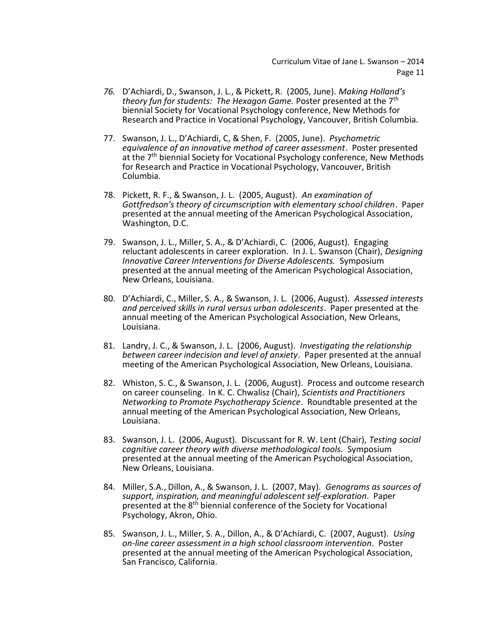- *76.* D'Achiardi, D., Swanson, J. L., & Pickett, R. (2005, June). *Making Holland's theory fun for students: The Hexagon Game.* Poster presented at the 7th biennial Society for Vocational Psychology conference, New Methods for Research and Practice in Vocational Psychology, Vancouver, British Columbia.
- 77. Swanson, J. L., D'Achiardi, C, & Shen, F. (2005, June). *Psychometric equivalence of an innovative method of career assessment*. Poster presented at the 7<sup>th</sup> biennial Society for Vocational Psychology conference, New Methods for Research and Practice in Vocational Psychology, Vancouver, British Columbia.
- 78. Pickett, R. F., & Swanson, J. L. (2005, August). *An examination of Gottfredson's theory of circumscription with elementary school children*. Paper presented at the annual meeting of the American Psychological Association, Washington, D.C.
- 79. Swanson, J. L., Miller, S. A., & D'Achiardi, C. (2006, August). Engaging reluctant adolescents in career exploration. In J. L. Swanson (Chair), *Designing Innovative Career Interventions for Diverse Adolescents.* Symposium presented at the annual meeting of the American Psychological Association, New Orleans, Louisiana.
- 80. D'Achiardi, C., Miller, S. A., & Swanson, J. L. (2006, August). *Assessed interests and perceived skills in rural versus urban adolescents*. Paper presented at the annual meeting of the American Psychological Association, New Orleans, Louisiana.
- 81. Landry, J. C., & Swanson, J. L. (2006, August). *Investigating the relationship between career indecision and level of anxiety*. Paper presented at the annual meeting of the American Psychological Association, New Orleans, Louisiana.
- 82. Whiston, S. C., & Swanson, J. L. (2006, August). Process and outcome research on career counseling. In K. C. Chwalisz (Chair), *Scientists and Practitioners Networking to Promote Psychotherapy Science*. Roundtable presented at the annual meeting of the American Psychological Association, New Orleans, Louisiana.
- 83. Swanson, J. L. (2006, August). Discussant for R. W. Lent (Chair), *Testing social cognitive career theory with diverse methodological tools.* Symposium presented at the annual meeting of the American Psychological Association, New Orleans, Louisiana.
- 84. Miller, S.A., Dillon, A., & Swanson, J. L. (2007, May). *Genograms as sources of support, inspiration, and meaningful adolescent self-exploration*. Paper presented at the 8th biennial conference of the Society for Vocational Psychology, Akron, Ohio.
- 85. Swanson, J. L., Miller, S. A., Dillon, A., & D'Achiardi, C. (2007, August). *Using on-line career assessment in a high school classroom intervention*. Poster presented at the annual meeting of the American Psychological Association, San Francisco, California.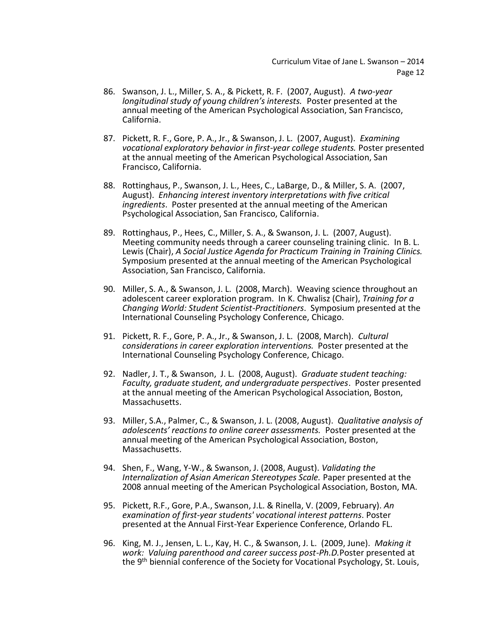- 86. Swanson, J. L., Miller, S. A., & Pickett, R. F. (2007, August). *A two-year longitudinal study of young children's interests.* Poster presented at the annual meeting of the American Psychological Association, San Francisco, California.
- 87. Pickett, R. F., Gore, P. A., Jr., & Swanson, J. L. (2007, August). *Examining vocational exploratory behavior in first-year college students.* Poster presented at the annual meeting of the American Psychological Association, San Francisco, California.
- 88. Rottinghaus, P., Swanson, J. L., Hees, C., LaBarge, D., & Miller, S. A. (2007, August). *Enhancing interest inventory interpretations with five critical ingredients*. Poster presented at the annual meeting of the American Psychological Association, San Francisco, California.
- 89. Rottinghaus, P., Hees, C., Miller, S. A., & Swanson, J. L. (2007, August). Meeting community needs through a career counseling training clinic. In B. L. Lewis (Chair), *A Social Justice Agenda for Practicum Training in Training Clinics.* Symposium presented at the annual meeting of the American Psychological Association, San Francisco, California.
- 90. Miller, S. A., & Swanson, J. L. (2008, March). Weaving science throughout an adolescent career exploration program. In K. Chwalisz (Chair), *Training for a Changing World: Student Scientist-Practitioners*. Symposium presented at the International Counseling Psychology Conference, Chicago.
- 91. Pickett, R. F., Gore, P. A., Jr., & Swanson, J. L. (2008, March). *Cultural considerations in career exploration interventions.* Poster presented at the International Counseling Psychology Conference, Chicago.
- 92. Nadler, J. T., & Swanson, J. L. (2008, August). *Graduate student teaching: Faculty, graduate student, and undergraduate perspectives*. Poster presented at the annual meeting of the American Psychological Association, Boston, Massachusetts.
- 93. Miller, S.A., Palmer, C., & Swanson, J. L. (2008, August). *Qualitative analysis of adolescents' reactions to online career assessments.* Poster presented at the annual meeting of the American Psychological Association, Boston, Massachusetts.
- 94. Shen, F., Wang, Y-W., & Swanson, J. (2008, August). *Validating the Internalization of Asian American Stereotypes Scale.* Paper presented at the 2008 annual meeting of the American Psychological Association, Boston, MA.
- 95. Pickett, R.F., Gore, P.A., Swanson, J.L. & Rinella, V. (2009, February). *An examination of first-year students' vocational interest patterns*. Poster presented at the Annual First-Year Experience Conference, Orlando FL.
- 96. King, M. J., Jensen, L. L., Kay, H. C., & Swanson, J. L. (2009, June). *Making it work: Valuing parenthood and career success post-Ph.D.*Poster presented at the 9<sup>th</sup> biennial conference of the Society for Vocational Psychology, St. Louis,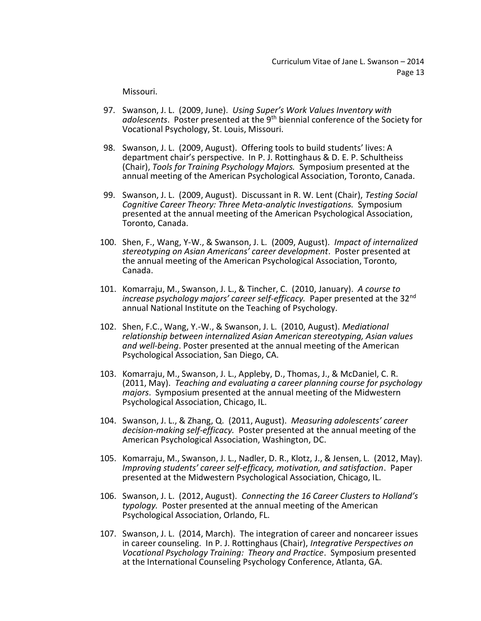Missouri.

- 97. Swanson, J. L. (2009, June). *Using Super's Work Values Inventory with adolescents*. Poster presented at the 9th biennial conference of the Society for Vocational Psychology, St. Louis, Missouri.
- 98. Swanson, J. L. (2009, August). Offering tools to build students' lives: A department chair's perspective. In P. J. Rottinghaus & D. E. P. Schultheiss (Chair), *Tools for Training Psychology Majors.* Symposium presented at the annual meeting of the American Psychological Association, Toronto, Canada.
- 99. Swanson, J. L. (2009, August). Discussant in R. W. Lent (Chair), *Testing Social Cognitive Career Theory: Three Meta-analytic Investigations.* Symposium presented at the annual meeting of the American Psychological Association, Toronto, Canada.
- 100. Shen, F., Wang, Y-W., & Swanson, J. L. (2009, August). *Impact of internalized stereotyping on Asian Americans' career development*. Poster presented at the annual meeting of the American Psychological Association, Toronto, Canada.
- 101. Komarraju, M., Swanson, J. L., & Tincher, C. (2010, January). *A course to increase psychology majors' career self-efficacy.* Paper presented at the 32nd annual National Institute on the Teaching of Psychology.
- 102. Shen, F.C., Wang, Y.-W., & Swanson, J. L. (2010, August). *Mediational relationship between internalized Asian American stereotyping, Asian values and well-being*. Poster presented at the annual meeting of the American Psychological Association, San Diego, CA.
- 103. Komarraju, M., Swanson, J. L., Appleby, D., Thomas, J., & McDaniel, C. R. (2011, May). *Teaching and evaluating a career planning course for psychology majors*. Symposium presented at the annual meeting of the Midwestern Psychological Association, Chicago, IL.
- 104. Swanson, J. L., & Zhang, Q. (2011, August). *Measuring adolescents' career decision-making self-efficacy.* Poster presented at the annual meeting of the American Psychological Association, Washington, DC.
- 105. Komarraju, M., Swanson, J. L., Nadler, D. R., Klotz, J., & Jensen, L. (2012, May). *Improving students' career self-efficacy, motivation, and satisfaction*. Paper presented at the Midwestern Psychological Association, Chicago, IL.
- 106. Swanson, J. L. (2012, August). *Connecting the 16 Career Clusters to Holland's typology.* Poster presented at the annual meeting of the American Psychological Association, Orlando, FL.
- 107. Swanson, J. L. (2014, March). The integration of career and noncareer issues in career counseling. In P. J. Rottinghaus (Chair), *Integrative Perspectives on Vocational Psychology Training: Theory and Practice*. Symposium presented at the International Counseling Psychology Conference, Atlanta, GA.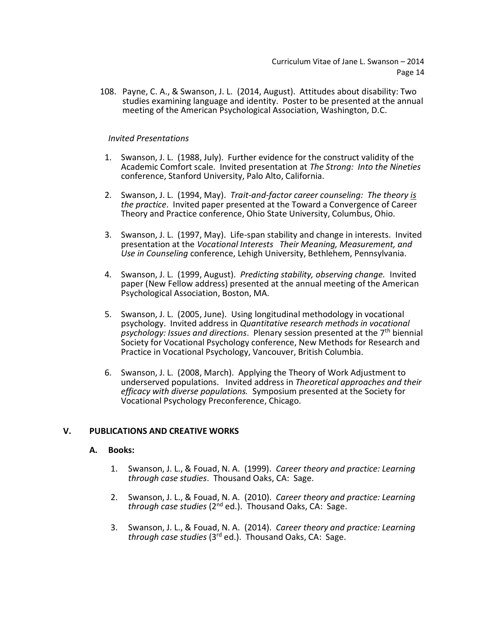108. Payne, C. A., & Swanson, J. L. (2014, August). Attitudes about disability: Two studies examining language and identity. Poster to be presented at the annual meeting of the American Psychological Association, Washington, D.C.

## *Invited Presentations*

- 1. Swanson, J. L. (1988, July). Further evidence for the construct validity of the Academic Comfort scale. Invited presentation at *The Strong: Into the Nineties* conference, Stanford University, Palo Alto, California.
- 2. Swanson, J. L. (1994, May). *Trait-and-factor career counseling: The theory is the practice*. Invited paper presented at the Toward a Convergence of Career Theory and Practice conference, Ohio State University, Columbus, Ohio.
- 3. Swanson, J. L. (1997, May). Life-span stability and change in interests. Invited presentation at the *Vocational Interests Their Meaning, Measurement, and Use in Counseling* conference, Lehigh University, Bethlehem, Pennsylvania.
- 4. Swanson, J. L. (1999, August). *Predicting stability, observing change.* Invited paper (New Fellow address) presented at the annual meeting of the American Psychological Association, Boston, MA.
- 5. Swanson, J. L. (2005, June). Using longitudinal methodology in vocational psychology. Invited address in *Quantitative research methods in vocational psychology: Issues and directions*. Plenary session presented at the 7th biennial Society for Vocational Psychology conference, New Methods for Research and Practice in Vocational Psychology, Vancouver, British Columbia.
- 6. Swanson, J. L. (2008, March). Applying the Theory of Work Adjustment to underserved populations. Invited address in *Theoretical approaches and their efficacy with diverse populations.* Symposium presented at the Society for Vocational Psychology Preconference, Chicago.

## **V. PUBLICATIONS AND CREATIVE WORKS**

#### **A. Books:**

- 1. Swanson, J. L., & Fouad, N. A. (1999). *Career theory and practice: Learning through case studies*. Thousand Oaks, CA: Sage.
- 2. Swanson, J. L., & Fouad, N. A. (2010). *Career theory and practice: Learning through case studies* (2nd ed.). Thousand Oaks, CA: Sage.
- 3. Swanson, J. L., & Fouad, N. A. (2014). *Career theory and practice: Learning*  through case studies (3<sup>rd</sup> ed.). Thousand Oaks, CA: Sage.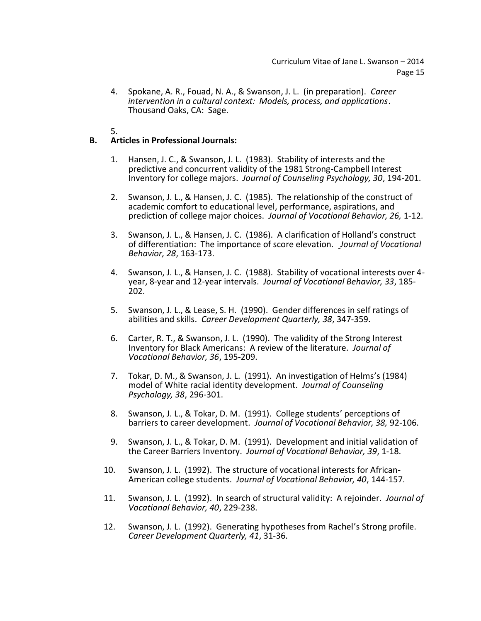- 4. Spokane, A. R., Fouad, N. A., & Swanson, J. L. (in preparation). *Career intervention in a cultural context: Models, process, and applications*. Thousand Oaks, CA: Sage.
- 5.

# **B. Articles in Professional Journals:**

- 1. Hansen, J. C., & Swanson, J. L. (1983). Stability of interests and the predictive and concurrent validity of the 1981 Strong-Campbell Interest Inventory for college majors. *Journal of Counseling Psychology, 30*, 194-201.
- 2. Swanson, J. L., & Hansen, J. C. (1985). The relationship of the construct of academic comfort to educational level, performance, aspirations, and prediction of college major choices. *Journal of Vocational Behavior, 26,* 1-12.
- 3. Swanson, J. L., & Hansen, J. C. (1986). A clarification of Holland's construct of differentiation: The importance of score elevation. *Journal of Vocational Behavior, 28*, 163-173.
- 4. Swanson, J. L., & Hansen, J. C. (1988). Stability of vocational interests over 4 year, 8-year and 12-year intervals. *Journal of Vocational Behavior, 33*, 185- 202.
- 5. Swanson, J. L., & Lease, S. H. (1990). Gender differences in self ratings of abilities and skills. *Career Development Quarterly, 38*, 347-359.
- 6. Carter, R. T., & Swanson, J. L. (1990). The validity of the Strong Interest Inventory for Black Americans: A review of the literature. *Journal of Vocational Behavior, 36*, 195-209.
- 7. Tokar, D. M., & Swanson, J. L. (1991). An investigation of Helms's (1984) model of White racial identity development. *Journal of Counseling Psychology, 38*, 296-301.
- 8. Swanson, J. L., & Tokar, D. M. (1991). College students' perceptions of barriers to career development. *Journal of Vocational Behavior, 38,* 92-106.
- 9. Swanson, J. L., & Tokar, D. M. (1991). Development and initial validation of the Career Barriers Inventory. *Journal of Vocational Behavior, 39*, 1-18.
- 10. Swanson, J. L. (1992). The structure of vocational interests for African-American college students. *Journal of Vocational Behavior, 40*, 144-157.
- 11. Swanson, J. L. (1992). In search of structural validity: A rejoinder. *Journal of Vocational Behavior, 40*, 229-238.
- 12. Swanson, J. L. (1992). Generating hypotheses from Rachel's Strong profile. *Career Development Quarterly, 41*, 31-36.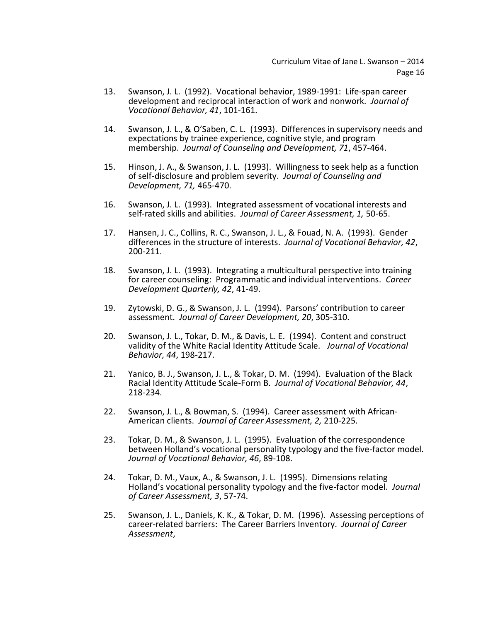- 13. Swanson, J. L. (1992). Vocational behavior, 1989-1991: Life-span career development and reciprocal interaction of work and nonwork. *Journal of Vocational Behavior, 41*, 101-161.
- 14. Swanson, J. L., & O'Saben, C. L. (1993). Differences in supervisory needs and expectations by trainee experience, cognitive style, and program membership. *Journal of Counseling and Development, 71*, 457-464.
- 15. Hinson, J. A., & Swanson, J. L. (1993). Willingness to seek help as a function of self-disclosure and problem severity. *Journal of Counseling and Development, 71,* 465-470.
- 16. Swanson, J. L. (1993). Integrated assessment of vocational interests and self-rated skills and abilities. *Journal of Career Assessment, 1,* 50-65.
- 17. Hansen, J. C., Collins, R. C., Swanson, J. L., & Fouad, N. A. (1993). Gender differences in the structure of interests. *Journal of Vocational Behavior, 42*, 200-211.
- 18. Swanson, J. L. (1993). Integrating a multicultural perspective into training for career counseling: Programmatic and individual interventions. *Career Development Quarterly, 42*, 41-49.
- 19. Zytowski, D. G., & Swanson, J. L. (1994). Parsons' contribution to career assessment. *Journal of Career Development, 20*, 305-310.
- 20. Swanson, J. L., Tokar, D. M., & Davis, L. E. (1994). Content and construct validity of the White Racial Identity Attitude Scale. *Journal of Vocational Behavior, 44*, 198-217.
- 21. Yanico, B. J., Swanson, J. L., & Tokar, D. M. (1994). Evaluation of the Black Racial Identity Attitude Scale-Form B. *Journal of Vocational Behavior, 44*, 218-234.
- 22. Swanson, J. L., & Bowman, S. (1994). Career assessment with African-American clients. *Journal of Career Assessment, 2,* 210-225.
- 23. Tokar, D. M., & Swanson, J. L. (1995). Evaluation of the correspondence between Holland's vocational personality typology and the five-factor model. *Journal of Vocational Behavior, 46*, 89-108.
- 24. Tokar, D. M., Vaux, A., & Swanson, J. L. (1995). Dimensions relating Holland's vocational personality typology and the five-factor model. *Journal of Career Assessment, 3*, 57-74.
- 25. Swanson, J. L., Daniels, K. K., & Tokar, D. M. (1996). Assessing perceptions of career-related barriers: The Career Barriers Inventory. *Journal of Career Assessment*,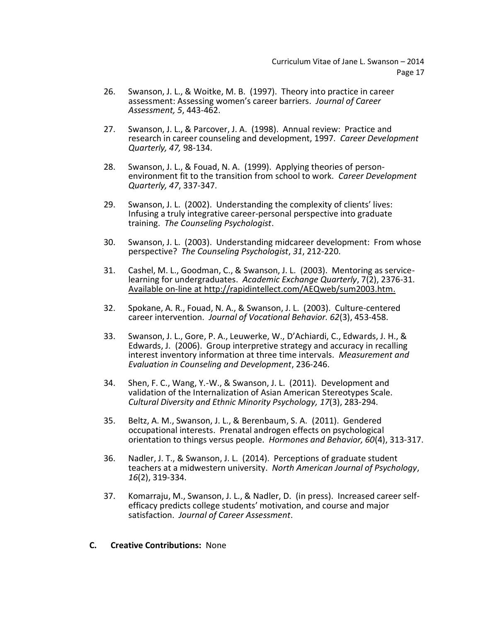- 26. Swanson, J. L., & Woitke, M. B. (1997). Theory into practice in career assessment: Assessing women's career barriers. *Journal of Career Assessment, 5*, 443-462.
- 27. Swanson, J. L., & Parcover, J. A. (1998). Annual review: Practice and research in career counseling and development, 1997. *Career Development Quarterly, 47,* 98-134.
- 28. Swanson, J. L., & Fouad, N. A. (1999). Applying theories of personenvironment fit to the transition from school to work. *Career Development Quarterly, 47*, 337-347.
- 29. Swanson, J. L. (2002). Understanding the complexity of clients' lives: Infusing a truly integrative career-personal perspective into graduate training. *The Counseling Psychologist*.
- 30. Swanson, J. L. (2003). Understanding midcareer development: From whose perspective? *The Counseling Psychologist*, *31*, 212-220.
- 31. Cashel, M. L., Goodman, C., & Swanson, J. L. (2003). Mentoring as servicelearning for undergraduates. *Academic Exchange Quarterly*, 7(2), 2376-31. Available on-line at [http://rapidintellect.com/AEQweb/sum2003.htm.](http://rapidintellect.com/AEQweb/sum2003.htm)
- 32. Spokane, A. R., Fouad, N. A., & Swanson, J. L. (2003). Culture-centered career intervention. *Journal of Vocational Behavior. 62*(3), 453-458.
- 33. Swanson, J. L., Gore, P. A., Leuwerke, W., D'Achiardi, C., Edwards, J. H., & Edwards, J. (2006). Group interpretive strategy and accuracy in recalling interest inventory information at three time intervals. *Measurement and Evaluation in Counseling and Development*, 236-246.
- 34. Shen, F. C., Wang, Y.-W., & Swanson, J. L. (2011). Development and validation of the Internalization of Asian American Stereotypes Scale. *Cultural Diversity and Ethnic Minority Psychology, 17*(3), 283-294.
- 35. Beltz, A. M., Swanson, J. L., & Berenbaum, S. A. (2011). Gendered occupational interests. Prenatal androgen effects on psychological orientation to things versus people. *Hormones and Behavior, 60*(4), 313-317.
- 36. Nadler, J. T., & Swanson, J. L. (2014). Perceptions of graduate student teachers at a midwestern university. *North American Journal of Psychology*, *16*(2), 319-334.
- 37. Komarraju, M., Swanson, J. L., & Nadler, D. (in press). Increased career selfefficacy predicts college students' motivation, and course and major satisfaction. *Journal of Career Assessment*.
- **C. Creative Contributions:** None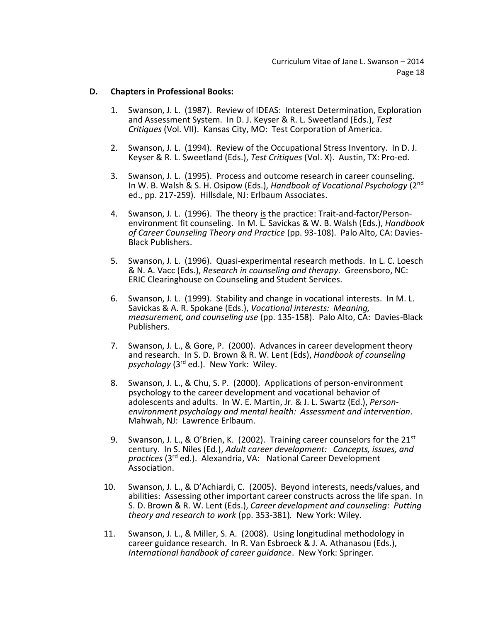#### **D. Chapters in Professional Books:**

- 1. Swanson, J. L. (1987). Review of IDEAS: Interest Determination, Exploration and Assessment System. In D. J. Keyser & R. L. Sweetland (Eds.), *Test Critiques* (Vol. VII). Kansas City, MO: Test Corporation of America.
- 2. Swanson, J. L. (1994). Review of the Occupational Stress Inventory. In D. J. Keyser & R. L. Sweetland (Eds.), *Test Critiques* (Vol. X). Austin, TX: Pro-ed.
- 3. Swanson, J. L. (1995). Process and outcome research in career counseling. In W. B. Walsh & S. H. Osipow (Eds.), *Handbook of Vocational Psychology* (2nd ed., pp. 217-259). Hillsdale, NJ: Erlbaum Associates.
- 4. Swanson, J. L. (1996). The theory is the practice: Trait-and-factor/Personenvironment fit counseling. In M. L. Savickas & W. B. Walsh (Eds.), *Handbook of Career Counseling Theory and Practice* (pp. 93-108). Palo Alto, CA: Davies-Black Publishers.
- 5. Swanson, J. L. (1996). Quasi-experimental research methods. In L. C. Loesch & N. A. Vacc (Eds.), *Research in counseling and therapy*. Greensboro, NC: ERIC Clearinghouse on Counseling and Student Services.
- 6. Swanson, J. L. (1999). Stability and change in vocational interests. In M. L. Savickas & A. R. Spokane (Eds.), *Vocational interests: Meaning, measurement, and counseling use* (pp. 135-158). Palo Alto, CA: Davies-Black Publishers.
- 7. Swanson, J. L., & Gore, P. (2000). Advances in career development theory and research. In S. D. Brown & R. W. Lent (Eds), *Handbook of counseling psychology* (3rd ed.). New York: Wiley.
- 8. Swanson, J. L., & Chu, S. P. (2000). Applications of person-environment psychology to the career development and vocational behavior of adolescents and adults. In W. E. Martin, Jr. & J. L. Swartz (Ed.), *Personenvironment psychology and mental health: Assessment and intervention*. Mahwah, NJ: Lawrence Erlbaum.
- 9. Swanson, J. L., & O'Brien, K. (2002). Training career counselors for the 21<sup>st</sup> century. In S. Niles (Ed.), *Adult career development: Concepts, issues, and practices* (3rd ed.). Alexandria, VA: National Career Development Association.
- 10. Swanson, J. L., & D'Achiardi, C. (2005). Beyond interests, needs/values, and abilities: Assessing other important career constructs across the life span. In S. D. Brown & R. W. Lent (Eds.), *Career development and counseling: Putting theory and research to work* (pp. 353-381)*.* New York: Wiley.
- 11. Swanson, J. L., & Miller, S. A. (2008). Using longitudinal methodology in career guidance research. In R. Van Esbroeck & J. A. Athanasou (Eds.), *International handbook of career guidance*. New York: Springer.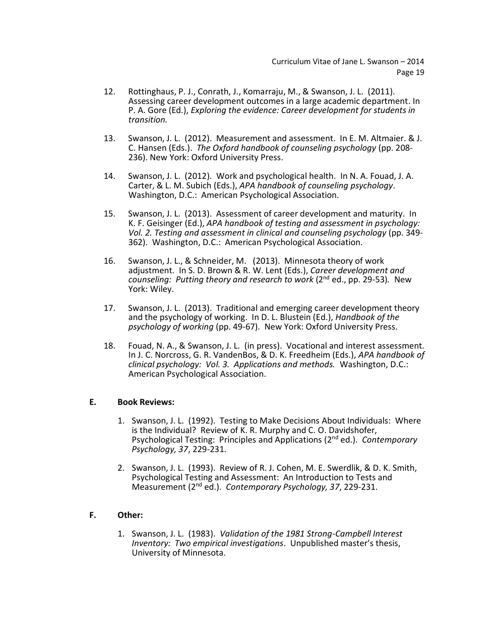- 12. Rottinghaus, P. J., Conrath, J., Komarraju, M., & Swanson, J. L. (2011). Assessing career development outcomes in a large academic department. In P. A. Gore (Ed.), *Exploring the evidence: Career development for students in transition.*
- 13. Swanson, J. L. (2012). Measurement and assessment. In E. M. Altmaier. & J. C. Hansen (Eds.). *The Oxford handbook of counseling psychology* (pp. 208- 236). New York: Oxford University Press.
- 14. Swanson, J. L. (2012). Work and psychological health. In N. A. Fouad, J. A. Carter, & L. M. Subich (Eds.), *APA handbook of counseling psychology*. Washington, D.C.: American Psychological Association.
- 15. Swanson, J. L. (2013). Assessment of career development and maturity. In K. F. Geisinger (Ed.), *APA handbook of testing and assessment in psychology: Vol. 2. Testing and assessment in clinical and counseling psychology* (pp. 349- 362). Washington, D.C.: American Psychological Association.
- 16. Swanson, J. L., & Schneider, M. (2013). Minnesota theory of work adjustment. In S. D. Brown & R. W. Lent (Eds.), *Career development and counseling: Putting theory and research to work* (2nd ed., pp. 29-53)*.* New York: Wiley.
- 17. Swanson, J. L. (2013). Traditional and emerging career development theory and the psychology of working. In D. L. Blustein (Ed.), *Handbook of the psychology of working* (pp. 49-67). New York: Oxford University Press.
- 18. Fouad, N. A., & Swanson, J. L. (in press). Vocational and interest assessment. In J. C. Norcross, G. R. VandenBos, & D. K. Freedheim (Eds.), *APA handbook of clinical psychology: Vol. 3. Applications and methods.* Washington, D.C.: American Psychological Association.

## **E. Book Reviews:**

- 1. Swanson, J. L. (1992). Testing to Make Decisions About Individuals: Where is the Individual? Review of K. R. Murphy and C. O. Davidshofer, Psychological Testing: Principles and Applications (2nd ed.). *Contemporary Psychology, 37*, 229-231.
- 2. Swanson, J. L. (1993). Review of R. J. Cohen, M. E. Swerdlik, & D. K. Smith, Psychological Testing and Assessment: An Introduction to Tests and Measurement (2nd ed.). *Contemporary Psychology, 37*, 229-231.

## **F. Other:**

1. Swanson, J. L. (1983). *Validation of the 1981 Strong-Campbell Interest Inventory: Two empirical investigations*. Unpublished master's thesis, University of Minnesota.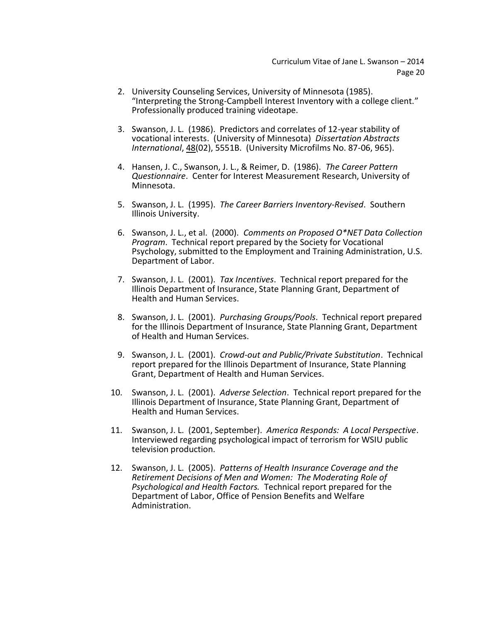- 2. University Counseling Services, University of Minnesota (1985). "Interpreting the Strong-Campbell Interest Inventory with a college client." Professionally produced training videotape.
- 3. Swanson, J. L. (1986). Predictors and correlates of 12-year stability of vocational interests. (University of Minnesota) *Dissertation Abstracts International*, 48(02), 5551B. (University Microfilms No. 87-06, 965).
- 4. Hansen, J. C., Swanson, J. L., & Reimer, D. (1986). *The Career Pattern Questionnaire*. Center for Interest Measurement Research, University of Minnesota.
- 5. Swanson, J. L. (1995). *The Career Barriers Inventory-Revised*. Southern Illinois University.
- 6. Swanson, J. L., et al. (2000). *Comments on Proposed O\*NET Data Collection Program*. Technical report prepared by the Society for Vocational Psychology, submitted to the Employment and Training Administration, U.S. Department of Labor.
- 7. Swanson, J. L. (2001). *Tax Incentives*. Technical report prepared for the Illinois Department of Insurance, State Planning Grant, Department of Health and Human Services.
- 8. Swanson, J. L. (2001). *Purchasing Groups/Pools*. Technical report prepared for the Illinois Department of Insurance, State Planning Grant, Department of Health and Human Services.
- 9. Swanson, J. L. (2001). *Crowd-out and Public/Private Substitution*. Technical report prepared for the Illinois Department of Insurance, State Planning Grant, Department of Health and Human Services.
- 10. Swanson, J. L. (2001). *Adverse Selection*. Technical report prepared for the Illinois Department of Insurance, State Planning Grant, Department of Health and Human Services.
- 11. Swanson, J. L. (2001, September). *America Responds: A Local Perspective*. Interviewed regarding psychological impact of terrorism for WSIU public television production.
- 12. Swanson, J. L. (2005). *Patterns of Health Insurance Coverage and the Retirement Decisions of Men and Women: The Moderating Role of Psychological and Health Factors.* Technical report prepared for the Department of Labor, Office of Pension Benefits and Welfare Administration.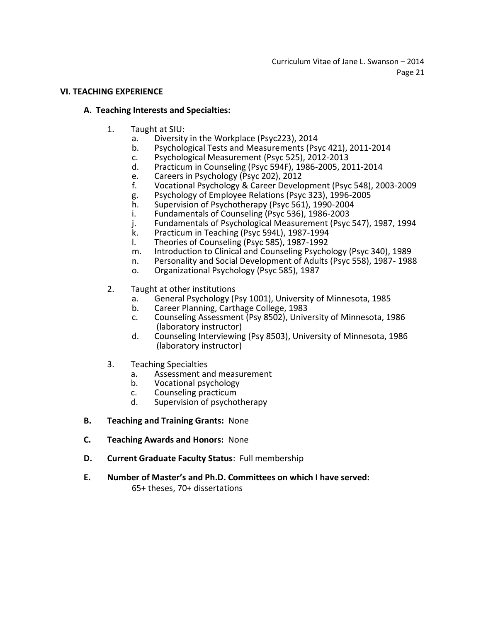#### **VI. TEACHING EXPERIENCE**

#### **A. Teaching Interests and Specialties:**

- 1. Taught at SIU:
	- a. Diversity in the Workplace (Psyc223), 2014
	- b. Psychological Tests and Measurements (Psyc 421), 2011-2014
	- c. Psychological Measurement (Psyc 525), 2012-2013
	- d. Practicum in Counseling (Psyc 594F), 1986-2005, 2011-2014
	- e. Careers in Psychology (Psyc 202), 2012<br>f. Vocational Psychology & Career Develo
	- Vocational Psychology & Career Development (Psyc 548), 2003-2009
	- g. Psychology of Employee Relations (Psyc 323), 1996-2005
	- h. Supervision of Psychotherapy (Psyc 561), 1990-2004
	- i. Fundamentals of Counseling (Psyc 536), 1986-2003
	- j. Fundamentals of Psychological Measurement (Psyc 547), 1987, 1994
	- k. Practicum in Teaching (Psyc 594L), 1987-1994
	- l. Theories of Counseling (Psyc 585), 1987-1992
	- m. Introduction to Clinical and Counseling Psychology (Psyc 340), 1989
	- n. Personality and Social Development of Adults (Psyc 558), 1987- 1988
	- o. Organizational Psychology (Psyc 585), 1987
- 2. Taught at other institutions
	- a. General Psychology (Psy 1001), University of Minnesota, 1985
	- b. Career Planning, Carthage College, 1983
	- c. Counseling Assessment (Psy 8502), University of Minnesota, 1986 (laboratory instructor)
	- d. Counseling Interviewing (Psy 8503), University of Minnesota, 1986 (laboratory instructor)
- 3. Teaching Specialties
	- a. Assessment and measurement
	- b. Vocational psychology
	- c. Counseling practicum
	- d. Supervision of psychotherapy
- **B. Teaching and Training Grants:** None
- **C. Teaching Awards and Honors:** None
- **D. Current Graduate Faculty Status**: Full membership
- **E. Number of Master's and Ph.D. Committees on which I have served:**

65+ theses, 70+ dissertations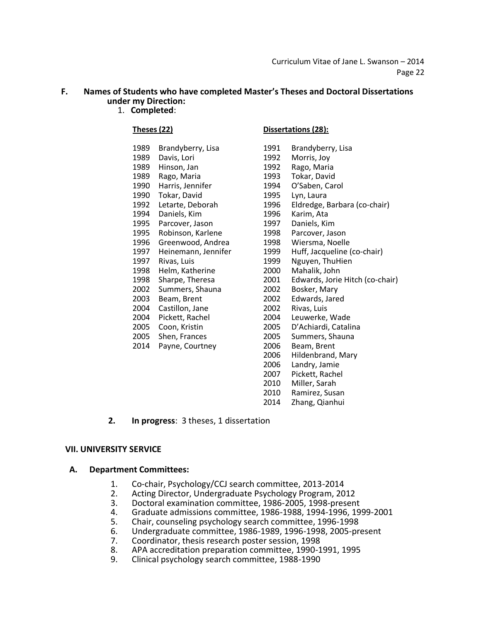# **F. Names of Students who have completed Master's Theses and Doctoral Dissertations under my Direction:**

1. **Completed**:

| 1989 | Brandyberry, Lisa   | 1991 | Brandyberry, Lisa    |
|------|---------------------|------|----------------------|
| 1989 | Davis, Lori         | 1992 | Morris, Joy          |
| 1989 | Hinson, Jan         | 1992 | Rago, Maria          |
| 1989 | Rago, Maria         | 1993 | Tokar, David         |
| 1990 | Harris, Jennifer    | 1994 | O'Saben, Carol       |
| 1990 | Tokar, David        | 1995 | Lyn, Laura           |
| 1992 | Letarte, Deborah    | 1996 | Eldredge, Barbara (o |
| 1994 | Daniels, Kim        | 1996 | Karim, Ata           |
| 1995 | Parcover, Jason     | 1997 | Daniels, Kim         |
| 1995 | Robinson, Karlene   | 1998 | Parcover, Jason      |
| 1996 | Greenwood, Andrea   | 1998 | Wiersma, Noelle      |
| 1997 | Heinemann, Jennifer | 1999 | Huff, Jacqueline (co |
| 1997 | Rivas, Luis         | 1999 | Nguyen, ThuHien      |
| 1998 | Helm, Katherine     | 2000 | Mahalik, John        |
| 1998 | Sharpe, Theresa     | 2001 | Edwards, Jorie Hitch |
| 2002 | Summers, Shauna     | 2002 | Bosker, Mary         |
| 2003 | Beam, Brent         | 2002 | Edwards, Jared       |
| 2004 | Castillon, Jane     | 2002 | Rivas, Luis          |
| 2004 | Pickett, Rachel     | 2004 | Leuwerke, Wade       |
| 2005 | Coon, Kristin       | 2005 | D'Achiardi, Catalina |
| 2005 | Shen, Frances       | 2005 | Summers, Shauna      |
| 2014 | Payne, Courtney     | 2006 | Beam, Brent          |
|      |                     | ว∩∩⊆ | Hildanhrand Marv     |

#### **Theses (22) Dissertations (28):**

| 1989 | Brandyberry, Lisa   | 1991 | Brandyberry, Lisa               |
|------|---------------------|------|---------------------------------|
| 1989 | Davis, Lori         | 1992 | Morris, Joy                     |
| 1989 | Hinson, Jan         | 1992 | Rago, Maria                     |
| 1989 | Rago, Maria         | 1993 | Tokar, David                    |
| 1990 | Harris, Jennifer    | 1994 | O'Saben, Carol                  |
| 1990 | Tokar, David        | 1995 | Lyn, Laura                      |
| 1992 | Letarte, Deborah    | 1996 | Eldredge, Barbara (co-chair)    |
| 1994 | Daniels, Kim        | 1996 | Karim, Ata                      |
| 1995 | Parcover, Jason     | 1997 | Daniels, Kim                    |
| 1995 | Robinson, Karlene   | 1998 | Parcover, Jason                 |
| 1996 | Greenwood, Andrea   | 1998 | Wiersma, Noelle                 |
| 1997 | Heinemann, Jennifer | 1999 | Huff, Jacqueline (co-chair)     |
| 1997 | Rivas, Luis         | 1999 | Nguyen, ThuHien                 |
| 1998 | Helm, Katherine     | 2000 | Mahalik, John                   |
| 1998 | Sharpe, Theresa     | 2001 | Edwards, Jorie Hitch (co-chair) |
| 2002 | Summers, Shauna     | 2002 | Bosker, Mary                    |
| 2003 | Beam, Brent         | 2002 | Edwards, Jared                  |
| 2004 | Castillon, Jane     | 2002 | Rivas, Luis                     |
| 2004 | Pickett, Rachel     | 2004 | Leuwerke, Wade                  |
| 2005 | Coon, Kristin       | 2005 | D'Achiardi, Catalina            |
| 2005 | Shen, Frances       | 2005 | Summers, Shauna                 |
| 2014 | Payne, Courtney     | 2006 | Beam, Brent                     |
|      |                     | 2006 | Hildenbrand, Mary               |
|      |                     | 2006 | Landry, Jamie                   |
|      |                     | 2007 | Pickett, Rachel                 |
|      |                     | 2010 | Miller, Sarah                   |
|      |                     | 2010 | Ramirez, Susan                  |
|      |                     | 2014 | Zhang, Qianhui                  |
|      |                     |      |                                 |

**2. In progress**: 3 theses, 1 dissertation

#### **VII. UNIVERSITY SERVICE**

#### **A. Department Committees:**

- 1. Co-chair, Psychology/CCJ search committee, 2013-2014<br>2. Acting Director, Undergraduate Psychology Program, 20
- 2. Acting Director, Undergraduate Psychology Program, 2012<br>3. Doctoral examination committee. 1986-2005. 1998-present
- 
- 3. Doctoral examination committee, 1986-2005, 1998-present 4. Graduate admissions committee, 1986-1988, 1994-1996, 1999-2001<br>5. Chair, counseling psychology search committee, 1996-1998
- 5. Chair, counseling psychology search committee, 1996-1998
- 6. Undergraduate committee, 1986-1989, 1996-1998, 2005-present
- 7. Coordinator, thesis research poster session, 1998<br>8. APA accreditation preparation committee. 1990-1
- 8. APA accreditation preparation committee, 1990-1991, 1995
- 9. Clinical psychology search committee, 1988-1990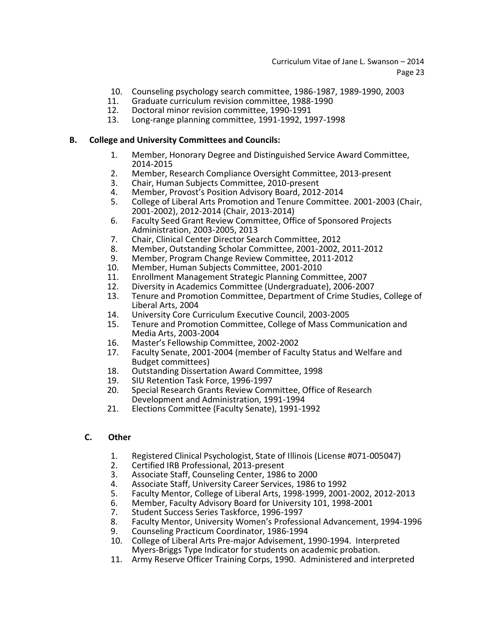- 10. Counseling psychology search committee, 1986-1987, 1989-1990, 2003
- 11. Graduate curriculum revision committee, 1988-1990
- 12. Doctoral minor revision committee, 1990-1991
- 13. Long-range planning committee, 1991-1992, 1997-1998

## **B. College and University Committees and Councils:**

- 1. Member, Honorary Degree and Distinguished Service Award Committee, 2014-2015
- 2. Member, Research Compliance Oversight Committee, 2013-present<br>3. Chair. Human Subiects Committee. 2010-present
- 3. Chair, Human Subjects Committee, 2010-present
- 4. Member, Provost's Position Advisory Board, 2012-2014
- 5. College of Liberal Arts Promotion and Tenure Committee. 2001-2003 (Chair, 2001-2002), 2012-2014 (Chair, 2013-2014)
- 6. Faculty Seed Grant Review Committee, Office of Sponsored Projects Administration, 2003-2005, 2013
- 7. Chair, Clinical Center Director Search Committee, 2012
- 8. Member, Outstanding Scholar Committee, 2001-2002, 2011-2012
- 9. Member, Program Change Review Committee, 2011-2012
- 10. Member, Human Subjects Committee, 2001-2010
- 11. Enrollment Management Strategic Planning Committee, 2007
- 12. Diversity in Academics Committee (Undergraduate), 2006-2007
- 13. Tenure and Promotion Committee, Department of Crime Studies, College of Liberal Arts, 2004
- 14. University Core Curriculum Executive Council, 2003-2005
- Tenure and Promotion Committee, College of Mass Communication and Media Arts, 2003-2004
- 16. Master's Fellowship Committee, 2002-2002
- Faculty Senate, 2001-2004 (member of Faculty Status and Welfare and Budget committees)
- 18. Outstanding Dissertation Award Committee, 1998<br>19. SIU Retention Task Force. 1996-1997
- 19. SIU Retention Task Force, 1996-1997
- Special Research Grants Review Committee, Office of Research Development and Administration, 1991-1994
- 21. Elections Committee (Faculty Senate), 1991-1992

## **C. Other**

- 1. Registered Clinical Psychologist, State of Illinois (License #071-005047)
- 2. Certified IRB Professional, 2013-present<br>3. Associate Staff, Counseling Center, 1986
- 3. Associate Staff, Counseling Center, 1986 to 2000
- 4. Associate Staff, University Career Services, 1986 to 1992<br>5. Faculty Mentor. College of Liberal Arts. 1998-1999. 2001
- 5. Faculty Mentor, College of Liberal Arts, 1998-1999, 2001-2002, 2012-2013
- 6. Member, Faculty Advisory Board for University 101, 1998-2001
- 7. Student Success Series Taskforce, 1996-1997
- 8. Faculty Mentor, University Women's Professional Advancement, 1994-1996<br>9. Counseling Practicum Coordinator, 1986-1994
- 9. Counseling Practicum Coordinator, 1986-1994<br>10. College of Liberal Arts Pre-maior Advisement.
- 10. College of Liberal Arts Pre-major Advisement, 1990-1994. Interpreted Myers-Briggs Type Indicator for students on academic probation.
- 11. Army Reserve Officer Training Corps, 1990. Administered and interpreted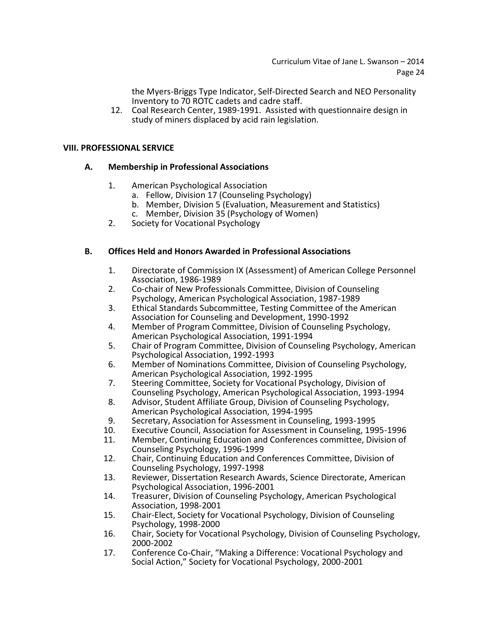the Myers-Briggs Type Indicator, Self-Directed Search and NEO Personality Inventory to 70 ROTC cadets and cadre staff.

12. Coal Research Center, 1989-1991. Assisted with questionnaire design in study of miners displaced by acid rain legislation.

## **VIII. PROFESSIONAL SERVICE**

## **A. Membership in Professional Associations**

- 1. American Psychological Association
	- a. Fellow, Division 17 (Counseling Psychology)
	- b. Member, Division 5 (Evaluation, Measurement and Statistics)
	- c. Member, Division 35 (Psychology of Women)
- 2. Society for Vocational Psychology

## **B. Offices Held and Honors Awarded in Professional Associations**

- 1. Directorate of Commission IX (Assessment) of American College Personnel Association, 1986-1989
- 2. Co-chair of New Professionals Committee, Division of Counseling Psychology, American Psychological Association, 1987-1989
- 3. Ethical Standards Subcommittee, Testing Committee of the American Association for Counseling and Development, 1990-1992
- 4. Member of Program Committee, Division of Counseling Psychology, American Psychological Association, 1991-1994
- 5. Chair of Program Committee, Division of Counseling Psychology, American Psychological Association, 1992-1993
- 6. Member of Nominations Committee, Division of Counseling Psychology, American Psychological Association, 1992-1995
- 7. Steering Committee, Society for Vocational Psychology, Division of Counseling Psychology, American Psychological Association, 1993-1994
- 8. Advisor, Student Affiliate Group, Division of Counseling Psychology, American Psychological Association, 1994-1995
- 9. Secretary, Association for Assessment in Counseling, 1993-1995
- 10. Executive Council, Association for Assessment in Counseling, 1995-1996
- 11. Member, Continuing Education and Conferences committee, Division of Counseling Psychology, 1996-1999
- 12. Chair, Continuing Education and Conferences Committee, Division of Counseling Psychology, 1997-1998
- 13. Reviewer, Dissertation Research Awards, Science Directorate, American Psychological Association, 1996-2001
- 14. Treasurer, Division of Counseling Psychology, American Psychological Association, 1998-2001
- 15. Chair-Elect, Society for Vocational Psychology, Division of Counseling Psychology, 1998-2000
- 16. Chair, Society for Vocational Psychology, Division of Counseling Psychology, 2000-2002
- 17. Conference Co-Chair, "Making a Difference: Vocational Psychology and Social Action," Society for Vocational Psychology, 2000-2001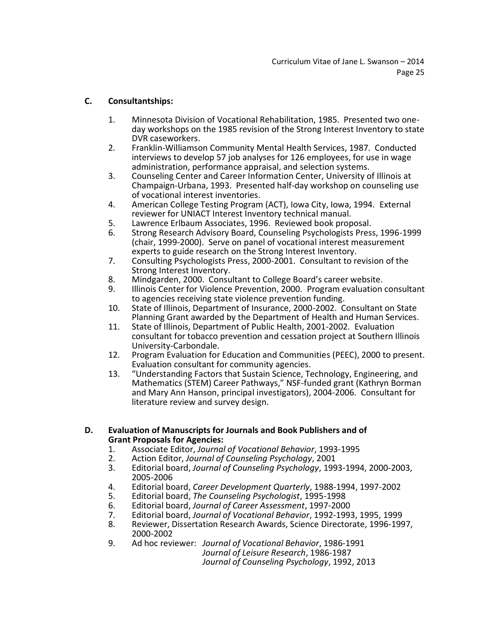# **C. Consultantships:**

- 1. Minnesota Division of Vocational Rehabilitation, 1985. Presented two oneday workshops on the 1985 revision of the Strong Interest Inventory to state DVR caseworkers.
- 2. Franklin-Williamson Community Mental Health Services, 1987. Conducted interviews to develop 57 job analyses for 126 employees, for use in wage administration, performance appraisal, and selection systems.
- 3. Counseling Center and Career Information Center, University of Illinois at Champaign-Urbana, 1993. Presented half-day workshop on counseling use of vocational interest inventories.
- 4. American College Testing Program (ACT), Iowa City, Iowa, 1994. External reviewer for UNIACT Interest Inventory technical manual.
- 5. Lawrence Erlbaum Associates, 1996. Reviewed book proposal.
- 6. Strong Research Advisory Board, Counseling Psychologists Press, 1996-1999 (chair, 1999-2000). Serve on panel of vocational interest measurement experts to guide research on the Strong Interest Inventory.
- 7. Consulting Psychologists Press, 2000-2001. Consultant to revision of the Strong Interest Inventory.
- 8. Mindgarden, 2000. Consultant to College Board's career website.
- 9. Illinois Center for Violence Prevention, 2000. Program evaluation consultant to agencies receiving state violence prevention funding.
- 10. State of Illinois, Department of Insurance, 2000-2002. Consultant on State Planning Grant awarded by the Department of Health and Human Services.
- 11. State of Illinois, Department of Public Health, 2001-2002. Evaluation consultant for tobacco prevention and cessation project at Southern Illinois University-Carbondale.
- 12. Program Evaluation for Education and Communities (PEEC), 2000 to present. Evaluation consultant for community agencies.
- 13. "Understanding Factors that Sustain Science, Technology, Engineering, and Mathematics (STEM) Career Pathways," NSF-funded grant (Kathryn Borman and Mary Ann Hanson, principal investigators), 2004-2006. Consultant for literature review and survey design.
- **D. Evaluation of Manuscripts for Journals and Book Publishers and of Grant Proposals for Agencies:**
	- 1. Associate Editor, *Journal of Vocational Behavior*, 1993-1995
	- 2. Action Editor, *Journal of Counseling Psychology*, 2001
	- 3. Editorial board, *Journal of Counseling Psychology*, 1993-1994, 2000-2003, 2005-2006
	- 4. Editorial board, *Career Development Quarterly*, 1988-1994, 1997-2002
	- 5. Editorial board, *The Counseling Psychologist*, 1995-1998
	- 6. Editorial board, *Journal of Career Assessment*, 1997-2000
	- 7. Editorial board, *Journal of Vocational Behavior*, 1992-1993, 1995, 1999
	- 8. Reviewer, Dissertation Research Awards, Science Directorate, 1996-1997, 2000-2002
	- 9. Ad hoc reviewer: *Journal of Vocational Behavior*, 1986-1991 *Journal of Leisure Research*, 1986-1987 *Journal of Counseling Psychology*, 1992, 2013